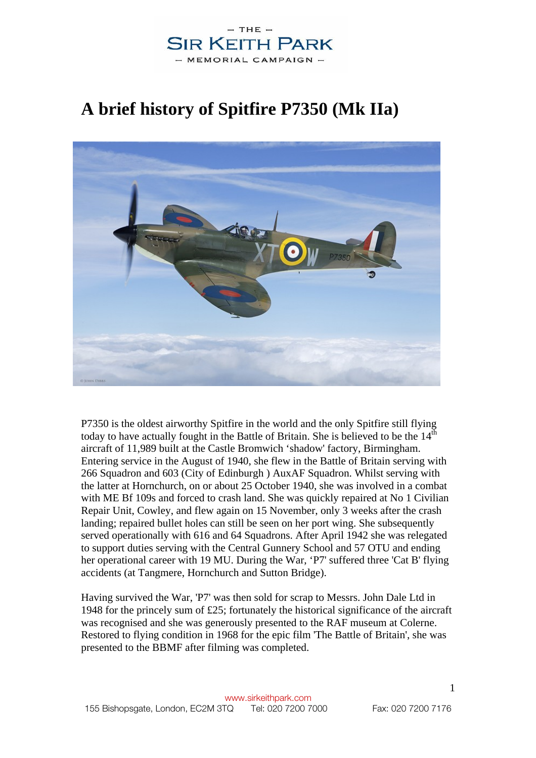# **A brief history of Spitfire P7350 (Mk IIa)**



P7350 is the oldest airworthy Spitfire in the world and the only Spitfire still flying today to have actually fought in the Battle of Britain. She is believed to be the  $14<sup>th</sup>$ aircraft of 11,989 built at the Castle Bromwich 'shadow' factory, Birmingham. Entering service in the August of 1940, she flew in the Battle of Britain serving with 266 Squadron and 603 (City of Edinburgh ) AuxAF Squadron. Whilst serving with the latter at Hornchurch, on or about 25 October 1940, she was involved in a combat with ME Bf 109s and forced to crash land. She was quickly repaired at No 1 Civilian Repair Unit, Cowley, and flew again on 15 November, only 3 weeks after the crash landing; repaired bullet holes can still be seen on her port wing. She subsequently served operationally with 616 and 64 Squadrons. After April 1942 she was relegated to support duties serving with the Central Gunnery School and 57 OTU and ending her operational career with 19 MU. During the War, 'P7' suffered three 'Cat B' flying accidents (at Tangmere, Hornchurch and Sutton Bridge).

Having survived the War, 'P7' was then sold for scrap to Messrs. John Dale Ltd in 1948 for the princely sum of £25; fortunately the historical significance of the aircraft was recognised and she was generously presented to the RAF museum at Colerne. Restored to flying condition in 1968 for the epic film 'The Battle of Britain', she was presented to the BBMF after filming was completed.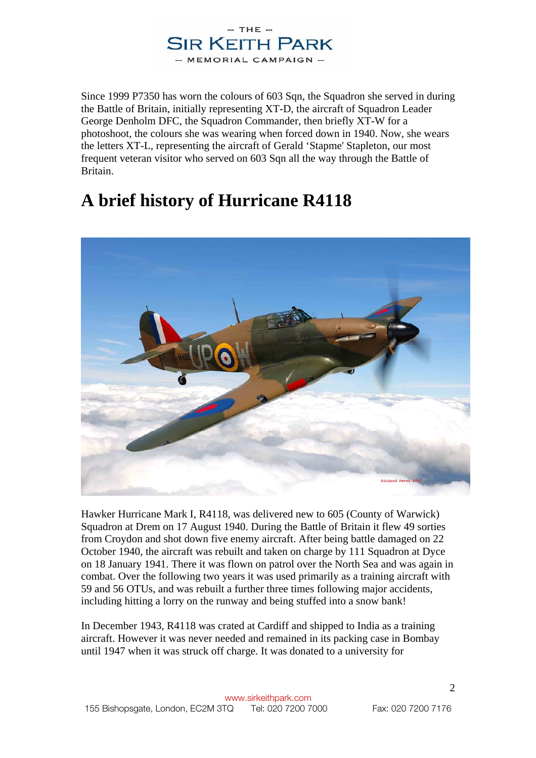

Since 1999 P7350 has worn the colours of 603 Sqn, the Squadron she served in during the Battle of Britain, initially representing XT-D, the aircraft of Squadron Leader George Denholm DFC, the Squadron Commander, then briefly XT-W for a photoshoot, the colours she was wearing when forced down in 1940. Now, she wears the letters XT-L, representing the aircraft of Gerald 'Stapme' Stapleton, our most frequent veteran visitor who served on 603 Sqn all the way through the Battle of Britain.

## **A brief history of Hurricane R4118**



Hawker Hurricane Mark I, R4118, was delivered new to 605 (County of Warwick) Squadron at Drem on 17 August 1940. During the Battle of Britain it flew 49 sorties from Croydon and shot down five enemy aircraft. After being battle damaged on 22 October 1940, the aircraft was rebuilt and taken on charge by 111 Squadron at Dyce on 18 January 1941. There it was flown on patrol over the North Sea and was again in combat. Over the following two years it was used primarily as a training aircraft with 59 and 56 OTUs, and was rebuilt a further three times following major accidents, including hitting a lorry on the runway and being stuffed into a snow bank!

In December 1943, R4118 was crated at Cardiff and shipped to India as a training aircraft. However it was never needed and remained in its packing case in Bombay until 1947 when it was struck off charge. It was donated to a university for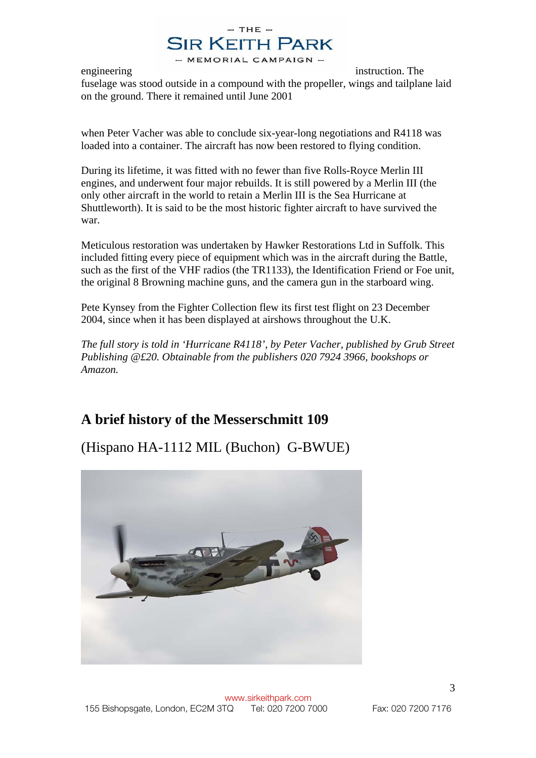engineering instruction. The fuselage was stood outside in a compound with the propeller, wings and tailplane laid on the ground. There it remained until June 2001

when Peter Vacher was able to conclude six-year-long negotiations and R4118 was loaded into a container. The aircraft has now been restored to flying condition.

During its lifetime, it was fitted with no fewer than five Rolls-Royce Merlin III engines, and underwent four major rebuilds. It is still powered by a Merlin III (the only other aircraft in the world to retain a Merlin III is the Sea Hurricane at Shuttleworth). It is said to be the most historic fighter aircraft to have survived the war.

Meticulous restoration was undertaken by Hawker Restorations Ltd in Suffolk. This included fitting every piece of equipment which was in the aircraft during the Battle, such as the first of the VHF radios (the TR1133), the Identification Friend or Foe unit, the original 8 Browning machine guns, and the camera gun in the starboard wing.

Pete Kynsey from the Fighter Collection flew its first test flight on 23 December 2004, since when it has been displayed at airshows throughout the U.K.

*The full story is told in 'Hurricane R4118', by Peter Vacher, published by Grub Street Publishing @£20. Obtainable from the publishers 020 7924 3966, bookshops or Amazon.* 

### **A brief history of the Messerschmitt 109**

(Hispano HA-1112 MIL (Buchon) G-BWUE)

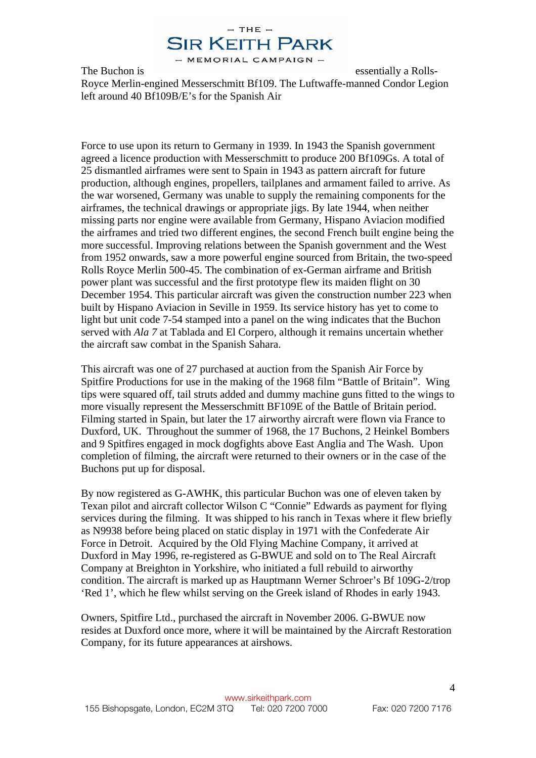

The Buchon is essentially a Rolls-Royce Merlin-engined Messerschmitt Bf109. The Luftwaffe-manned Condor Legion left around 40 Bf109B/E's for the Spanish Air

Force to use upon its return to Germany in 1939. In 1943 the Spanish government agreed a licence production with Messerschmitt to produce 200 Bf109Gs. A total of 25 dismantled airframes were sent to Spain in 1943 as pattern aircraft for future production, although engines, propellers, tailplanes and armament failed to arrive. As the war worsened, Germany was unable to supply the remaining components for the airframes, the technical drawings or appropriate jigs. By late 1944, when neither missing parts nor engine were available from Germany, Hispano Aviacion modified the airframes and tried two different engines, the second French built engine being the more successful. Improving relations between the Spanish government and the West from 1952 onwards, saw a more powerful engine sourced from Britain, the two-speed Rolls Royce Merlin 500-45. The combination of ex-German airframe and British power plant was successful and the first prototype flew its maiden flight on 30 December 1954. This particular aircraft was given the construction number 223 when built by Hispano Aviacion in Seville in 1959. Its service history has yet to come to light but unit code 7-54 stamped into a panel on the wing indicates that the Buchon served with *Ala 7* at Tablada and El Corpero, although it remains uncertain whether the aircraft saw combat in the Spanish Sahara.

This aircraft was one of 27 purchased at auction from the Spanish Air Force by Spitfire Productions for use in the making of the 1968 film "Battle of Britain". Wing tips were squared off, tail struts added and dummy machine guns fitted to the wings to more visually represent the Messerschmitt BF109E of the Battle of Britain period. Filming started in Spain, but later the 17 airworthy aircraft were flown via France to Duxford, UK. Throughout the summer of 1968, the 17 Buchons, 2 Heinkel Bombers and 9 Spitfires engaged in mock dogfights above East Anglia and The Wash. Upon completion of filming, the aircraft were returned to their owners or in the case of the Buchons put up for disposal.

By now registered as G-AWHK, this particular Buchon was one of eleven taken by Texan pilot and aircraft collector Wilson C "Connie" Edwards as payment for flying services during the filming. It was shipped to his ranch in Texas where it flew briefly as N9938 before being placed on static display in 1971 with the Confederate Air Force in Detroit. Acquired by the Old Flying Machine Company, it arrived at Duxford in May 1996, re-registered as G-BWUE and sold on to The Real Aircraft Company at Breighton in Yorkshire, who initiated a full rebuild to airworthy condition. The aircraft is marked up as Hauptmann Werner Schroer's Bf 109G-2/trop 'Red 1', which he flew whilst serving on the Greek island of Rhodes in early 1943.

Owners, Spitfire Ltd., purchased the aircraft in November 2006. G-BWUE now resides at Duxford once more, where it will be maintained by the Aircraft Restoration Company, for its future appearances at airshows.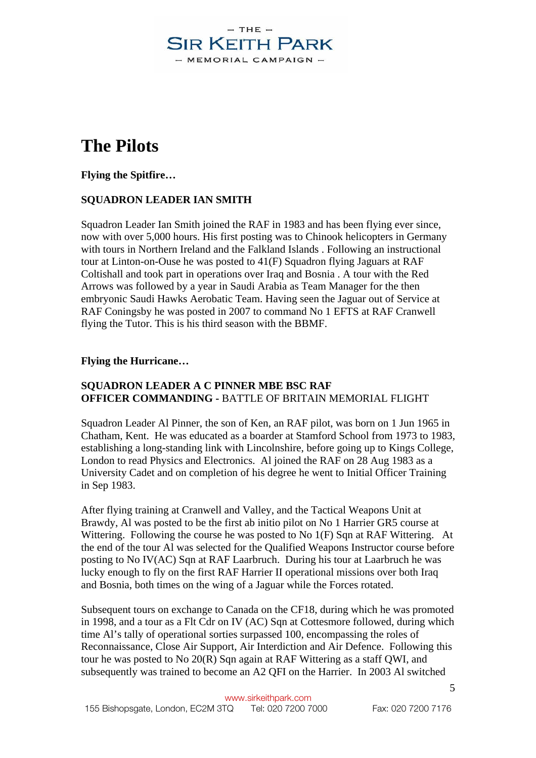# **The Pilots**

**Flying the Spitfire…** 

#### **SQUADRON LEADER IAN SMITH**

Squadron Leader Ian Smith joined the RAF in 1983 and has been flying ever since, now with over 5,000 hours. His first posting was to Chinook helicopters in Germany with tours in Northern Ireland and the Falkland Islands . Following an instructional tour at Linton-on-Ouse he was posted to 41(F) Squadron flying Jaguars at RAF Coltishall and took part in operations over Iraq and Bosnia . A tour with the Red Arrows was followed by a year in Saudi Arabia as Team Manager for the then embryonic Saudi Hawks Aerobatic Team. Having seen the Jaguar out of Service at RAF Coningsby he was posted in 2007 to command No 1 EFTS at RAF Cranwell flying the Tutor. This is his third season with the BBMF.

#### **Flying the Hurricane…**

#### **SQUADRON LEADER A C PINNER MBE BSC RAF OFFICER COMMANDING -** BATTLE OF BRITAIN MEMORIAL FLIGHT

Squadron Leader Al Pinner, the son of Ken, an RAF pilot, was born on 1 Jun 1965 in Chatham, Kent. He was educated as a boarder at Stamford School from 1973 to 1983, establishing a long-standing link with Lincolnshire, before going up to Kings College, London to read Physics and Electronics. Al joined the RAF on 28 Aug 1983 as a University Cadet and on completion of his degree he went to Initial Officer Training in Sep 1983.

After flying training at Cranwell and Valley, and the Tactical Weapons Unit at Brawdy, Al was posted to be the first ab initio pilot on No 1 Harrier GR5 course at Wittering. Following the course he was posted to No 1(F) Sqn at RAF Wittering. At the end of the tour Al was selected for the Qualified Weapons Instructor course before posting to No IV(AC) Sqn at RAF Laarbruch. During his tour at Laarbruch he was lucky enough to fly on the first RAF Harrier II operational missions over both Iraq and Bosnia, both times on the wing of a Jaguar while the Forces rotated.

Subsequent tours on exchange to Canada on the CF18, during which he was promoted in 1998, and a tour as a Flt Cdr on IV (AC) Sqn at Cottesmore followed, during which time Al's tally of operational sorties surpassed 100, encompassing the roles of Reconnaissance, Close Air Support, Air Interdiction and Air Defence. Following this tour he was posted to No 20(R) Sqn again at RAF Wittering as a staff QWI, and subsequently was trained to become an A2 QFI on the Harrier. In 2003 Al switched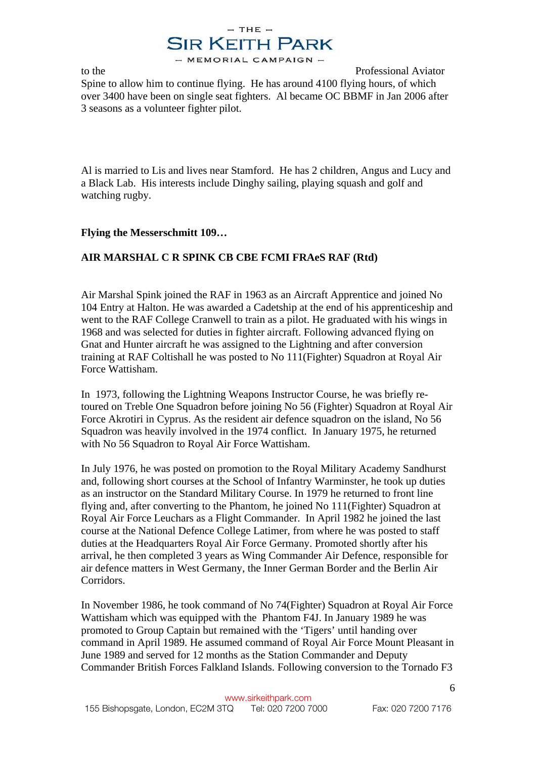

to the Professional Aviator Spine to allow him to continue flying. He has around 4100 flying hours, of which over 3400 have been on single seat fighters. Al became OC BBMF in Jan 2006 after 3 seasons as a volunteer fighter pilot.

Al is married to Lis and lives near Stamford. He has 2 children, Angus and Lucy and a Black Lab. His interests include Dinghy sailing, playing squash and golf and watching rugby.

#### **Flying the Messerschmitt 109…**

#### **AIR MARSHAL C R SPINK CB CBE FCMI FRAeS RAF (Rtd)**

Air Marshal Spink joined the RAF in 1963 as an Aircraft Apprentice and joined No 104 Entry at Halton. He was awarded a Cadetship at the end of his apprenticeship and went to the RAF College Cranwell to train as a pilot. He graduated with his wings in 1968 and was selected for duties in fighter aircraft. Following advanced flying on Gnat and Hunter aircraft he was assigned to the Lightning and after conversion training at RAF Coltishall he was posted to No 111(Fighter) Squadron at Royal Air Force Wattisham.

In 1973, following the Lightning Weapons Instructor Course, he was briefly retoured on Treble One Squadron before joining No 56 (Fighter) Squadron at Royal Air Force Akrotiri in Cyprus. As the resident air defence squadron on the island, No 56 Squadron was heavily involved in the 1974 conflict. In January 1975, he returned with No 56 Squadron to Royal Air Force Wattisham.

In July 1976, he was posted on promotion to the Royal Military Academy Sandhurst and, following short courses at the School of Infantry Warminster, he took up duties as an instructor on the Standard Military Course. In 1979 he returned to front line flying and, after converting to the Phantom, he joined No 111(Fighter) Squadron at Royal Air Force Leuchars as a Flight Commander. In April 1982 he joined the last course at the National Defence College Latimer, from where he was posted to staff duties at the Headquarters Royal Air Force Germany. Promoted shortly after his arrival, he then completed 3 years as Wing Commander Air Defence, responsible for air defence matters in West Germany, the Inner German Border and the Berlin Air Corridors.

In November 1986, he took command of No 74(Fighter) Squadron at Royal Air Force Wattisham which was equipped with the Phantom F4J. In January 1989 he was promoted to Group Captain but remained with the 'Tigers' until handing over command in April 1989. He assumed command of Royal Air Force Mount Pleasant in June 1989 and served for 12 months as the Station Commander and Deputy Commander British Forces Falkland Islands. Following conversion to the Tornado F3

6